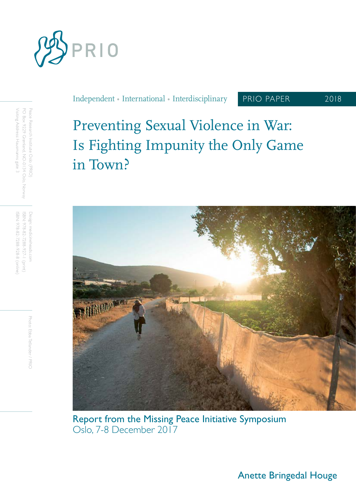

Independent • International • Interdisciplinary PRIO PAPER 2018

# Preventing Sexual Violence in War: Is Fighting Impunity the Only Game in Town?



Report from the Missing Peace Initiative Symposium Oslo, 7-8 December 2017

Anette Bringedal Houge

Visiting Address: Hausmanns gate 3 PO Box 9229 Grønland, NO-0134 Oslo, Norway Peace Research Institute Oslo (PRIO) PO Box 9229 Grønland, NO-0134 Oslo, <sup>1</sup>isiting Address: Hausmanns gate 3 Research Institute Oslo (PR

ISBN: 978-82-7288-927-I (print) ISBN: 978-82-7288-928-8 (online) ISBN: 978-82-7288-928-8 (online) ISBN: 978-82-7288-927-1 (print) Design: medicineheads.com resign: meaicineneads.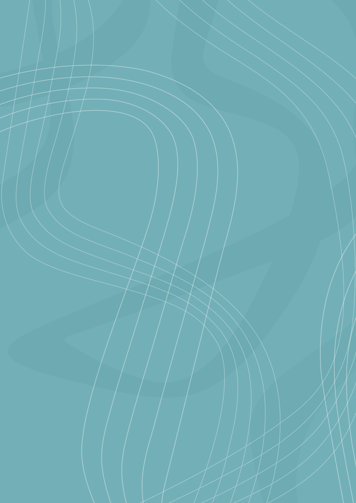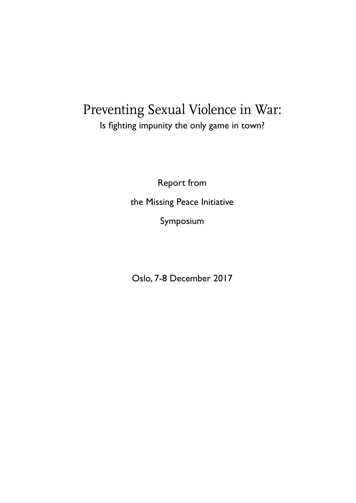### Preventing Sexual Violence in War: Is fighting impunity the only game in town?

Report from

the Missing Peace Initiative

Symposium

Oslo, 7-8 December 2017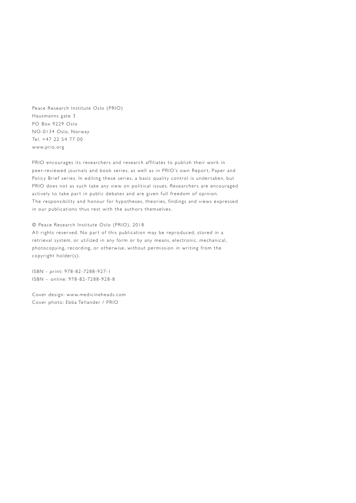Peace Research Institute Oslo (PRIO) Hausmanns gate 3 PO Box 9229 Oslo NO-0134 Oslo, Norway Tel. +47 22 54 77 00 www.prio.org

PRIO encourages its researchers and research affiliates to publish their work in peer-reviewed journals and book series, as well as in PRIO's own Report, Paper and Policy Brief series. In editing these series, a basic quality control is undertaken, but PRIO does not as such take any view on political issues. Researchers are encouraged actively to take part in public debates and are given full freedom of opinion. The responsibility and honour for hypotheses, theories, findings and views expressed in our publications thus rest with the authors themselves.

© Peace Research Institute Oslo (PRIO), 2018

All rights reserved. No part of this publication may be reproduced, stored in a retrieval system, or utilized in any form or by any means, electronic, mechanical, photocopying, recording, or otherwise, without permission in writing from the copyright holder(s).

ISBN - print: 978-82-7288-927-1 ISBN – online: 978-82-7288-928-8

Cover design: www.medicineheads.com Cover photo: Ebba Tellander / PRIO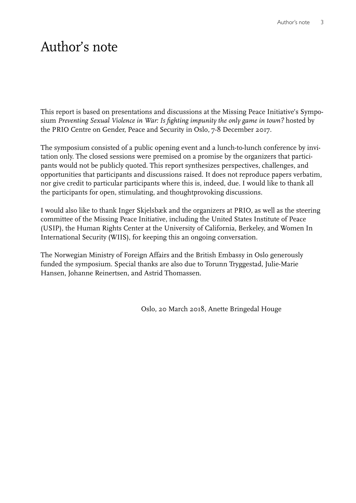# Author's note

This report is based on presentations and discussions at the Missing Peace Initiative's Symposium *Preventing Sexual Violence in War: Is fighting impunity the only game in town?* hosted by the PRIO Centre on Gender, Peace and Security in Oslo, 7-8 December 2017.

The symposium consisted of a public opening event and a lunch-to-lunch conference by invitation only. The closed sessions were premised on a promise by the organizers that participants would not be publicly quoted. This report synthesizes perspectives, challenges, and opportunities that participants and discussions raised. It does not reproduce papers verbatim, nor give credit to particular participants where this is, indeed, due. I would like to thank all the participants for open, stimulating, and thoughtprovoking discussions.

I would also like to thank Inger Skjelsbæk and the organizers at PRIO, as well as the steering committee of the Missing Peace Initiative, including the United States Institute of Peace (USIP), the Human Rights Center at the University of California, Berkeley, and Women In International Security (WIIS), for keeping this an ongoing conversation.

The Norwegian Ministry of Foreign Affairs and the British Embassy in Oslo generously funded the symposium. Special thanks are also due to Torunn Tryggestad, Julie-Marie Hansen, Johanne Reinertsen, and Astrid Thomassen.

Oslo, 20 March 2018, Anette Bringedal Houge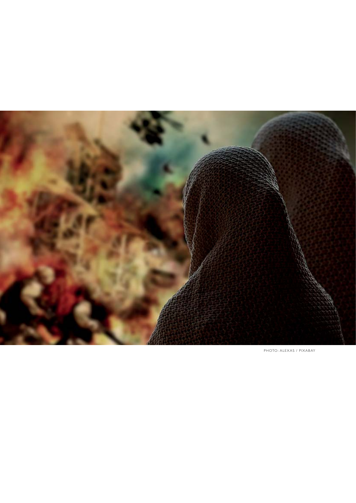

PHOTO: ALEXAS / PIXABAY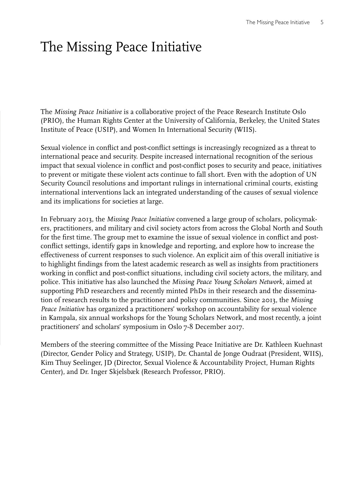# The Missing Peace Initiative

The *Missing Peace Initiative* is a collaborative project of the Peace Research Institute Oslo (PRIO), the Human Rights Center at the University of California, Berkeley, the United States Institute of Peace (USIP), and Women In International Security (WIIS).

Sexual violence in conflict and post-conflict settings is increasingly recognized as a threat to international peace and security. Despite increased international recognition of the serious impact that sexual violence in conflict and post-conflict poses to security and peace, initiatives to prevent or mitigate these violent acts continue to fall short. Even with the adoption of UN Security Council resolutions and important rulings in international criminal courts, existing international interventions lack an integrated understanding of the causes of sexual violence and its implications for societies at large.

In February 2013, the *Missing Peace Initiative* convened a large group of scholars, policymakers, practitioners, and military and civil society actors from across the Global North and South for the first time. The group met to examine the issue of sexual violence in conflict and postconflict settings, identify gaps in knowledge and reporting, and explore how to increase the effectiveness of current responses to such violence. An explicit aim of this overall initiative is to highlight findings from the latest academic research as well as insights from practitioners working in conflict and post-conflict situations, including civil society actors, the military, and police. This initiative has also launched the *Missing Peace Young Scholars Network*, aimed at supporting PhD researchers and recently minted PhDs in their research and the dissemination of research results to the practitioner and policy communities. Since 2013, the *Missing Peace Initiative* has organized a practitioners' workshop on accountability for sexual violence in Kampala, six annual workshops for the Young Scholars Network, and most recently, a joint practitioners' and scholars' symposium in Oslo 7-8 December 2017.

Members of the steering committee of the Missing Peace Initiative are Dr. Kathleen Kuehnast (Director, Gender Policy and Strategy, USIP), Dr. Chantal de Jonge Oudraat (President, WIIS), Kim Thuy Seelinger, JD (Director, Sexual Violence & Accountability Project, Human Rights Center), and Dr. Inger Skjelsbæk (Research Professor, PRIO).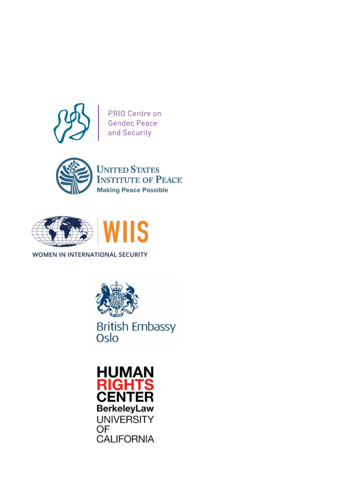

**PRIO Centre on** Gender, Peace and Security



**UNITED STATES INSTITUTE OF PEACE Making Peace Possible** 



WOMEN IN INTERNATIONAL SECURITY



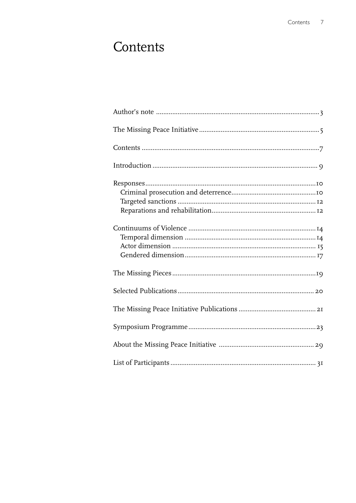# Contents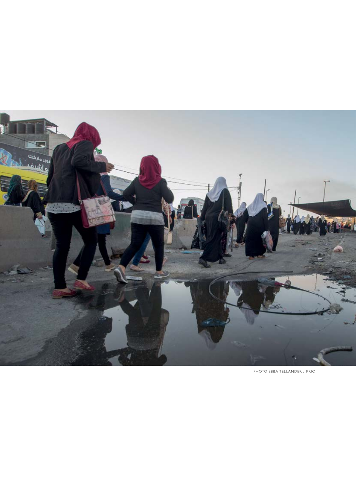

PHOTO:EBBA TELLANDER / PRIO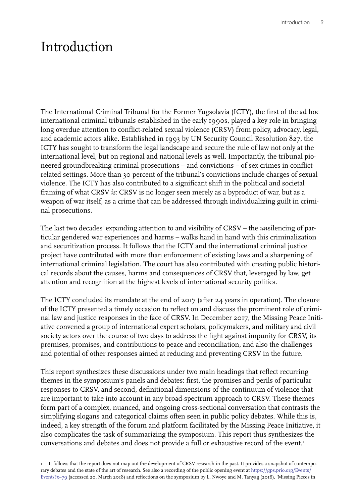## Introduction

The International Criminal Tribunal for the Former Yugsolavia (ICTY), the first of the ad hoc international criminal tribunals established in the early 1990s, played a key role in bringing long overdue attention to conflict-related sexual violence (CRSV) from policy, advocacy, legal, and academic actors alike. Established in 1993 by UN Security Council Resolution 827, the ICTY has sought to transform the legal landscape and secure the rule of law not only at the international level, but on regional and national levels as well. Importantly, the tribunal pioneered groundbreaking criminal prosecutions – and convictions – of sex crimes in conflictrelated settings. More than 30 percent of the tribunal's convictions include charges of sexual violence. The ICTY has also contributed to a significant shift in the political and societal framing of what CRSV *is*: CRSV is no longer seen merely as a byproduct of war, but as a weapon of war itself, as a crime that can be addressed through individualizing guilt in criminal prosecutions.

The last two decades' expanding attention to and visibility of CRSV – the *un*silencing of particular gendered war experiences and harms – walks hand in hand with this criminalization and securitization process. It follows that the ICTY and the international criminal justice project have contributed with more than enforcement of existing laws and a sharpening of international criminal legislation. The court has also contributed with creating public historical records about the causes, harms and consequences of CRSV that, leveraged by law, get attention and recognition at the highest levels of international security politics.

The ICTY concluded its mandate at the end of 2017 (after 24 years in operation). The closure of the ICTY presented a timely occasion to reflect on and discuss the prominent role of criminal law and justice responses in the face of CRSV. In December 2017, the Missing Peace Initiative convened a group of international expert scholars, policymakers, and military and civil society actors over the course of two days to address the fight against impunity for CRSV, its premises, promises, and contributions to peace and reconciliation, and also the challenges and potential of other responses aimed at reducing and preventing CRSV in the future.

This report synthesizes these discussions under two main headings that reflect recurring themes in the symposium's panels and debates: first, the promises and perils of particular responses to CRSV, and second, definitional dimensions of the continuum of violence that are important to take into account in any broad-spectrum approach to CRSV. These themes form part of a complex, nuanced, and ongoing cross-sectional conversation that contrasts the simplifying slogans and categorical claims often seen in public policy debates. While this is, indeed, a key strength of the forum and platform facilitated by the Missing Peace Initiative, it also complicates the task of summarizing the symposium. This report thus synthesizes the conversations and debates and does not provide a full or exhaustive record of the event.<sup>1</sup>

<sup>1</sup> It follows that the report does not map out the development of CRSV research in the past. It provides a snapshot of contemporary debates and the state of the art of research. See also a recording of the public opening event at https://gps.prio.org/Events/ Event/?x=79 (accessed 20. March 2018) and reflections on the symposium by L. Nwoye and M. Tanyag (2018), 'Missing Pieces in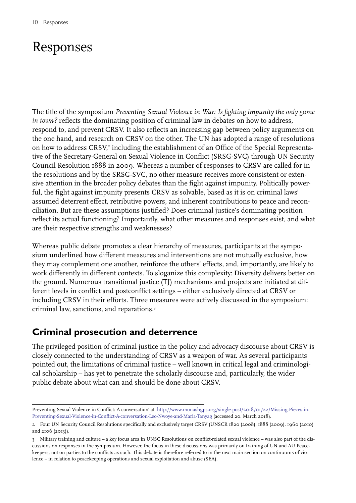## Responses

The title of the symposium *Preventing Sexual Violence in War: Is fighting impunity the only game in town?* reflects the dominating position of criminal law in debates on how to address, respond to, and prevent CRSV. It also reflects an increasing gap between policy arguments on the one hand, and research on CRSV on the other. The UN has adopted a range of resolutions on how to address CRSV,<sup>2</sup> including the establishment of an Office of the Special Representative of the Secretary-General on Sexual Violence in Conflict (SRSG-SVC) through UN Security Council Resolution 1888 in 2009. Whereas a number of responses to CRSV are called for in the resolutions and by the SRSG-SVC, no other measure receives more consistent or extensive attention in the broader policy debates than the fight against impunity. Politically powerful, the fight against impunity presents CRSV as solvable, based as it is on criminal laws' assumed deterrent effect, retributive powers, and inherent contributions to peace and reconciliation. But are these assumptions justified? Does criminal justice's dominating position reflect its actual functioning? Importantly, what other measures and responses exist, and what are their respective strengths and weaknesses?

Whereas public debate promotes a clear hierarchy of measures, participants at the symposium underlined how different measures and interventions are not mutually exclusive, how they may complement one another, reinforce the others' effects, and, importantly, are likely to work differently in different contexts. To sloganize this complexity: Diversity delivers better on the ground. Numerous transitional justice (TJ) mechanisms and projects are initiated at different levels in conflict and postconflict settings – either exclusively directed at CRSV or including CRSV in their efforts. Three measures were actively discussed in the symposium: criminal law, sanctions, and reparations.3

### **Criminal prosecution and deterrence**

The privileged position of criminal justice in the policy and advocacy discourse about CRSV is closely connected to the understanding of CRSV as a weapon of war. As several participants pointed out, the limitations of criminal justice – well known in critical legal and criminological scholarship – has yet to penetrate the scholarly discourse and, particularly, the wider public debate about what can and should be done about CRSV.

Preventing Sexual Violence in Conflict: A conversation' at http://www.monashgps.org/single-post/2018/01/22/Missing-Pieces-in-Preventing-Sexual-Violence-in-Conflict-A-conversation-Leo-Nwoye-and-Maria-Tanyag (accessed 20. March 2018).

<sup>2</sup> Four UN Security Council Resolutions specifically and exclusively target CRSV (UNSCR 1820 (2008), 1888 (2009), 1960 (2010) and 2106 (2013)).

<sup>3</sup> Military training and culture – a key focus area in UNSC Resolutions on conflict-related sexual violence – was also part of the discussions on responses in the symposium. However, the focus in these discussions was primarily on training of UN and AU Peacekeepers, not on parties to the conflicts as such. This debate is therefore referred to in the next main section on continuums of violence – in relation to peacekeeping operations and sexual exploitation and abuse (SEA).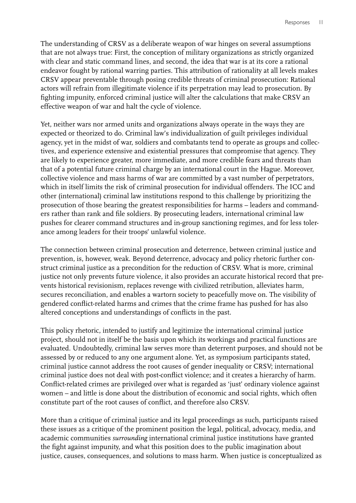The understanding of CRSV as a deliberate weapon of war hinges on several assumptions that are not always true: First, the conception of military organizations as strictly organized with clear and static command lines, and second, the idea that war is at its core a rational endeavor fought by rational warring parties. This attribution of rationality at all levels makes CRSV appear preventable through posing credible threats of criminal prosecution: Rational actors will refrain from illegitimate violence if its perpetration may lead to prosecution. By fighting impunity, enforced criminal justice will alter the calculations that make CRSV an effective weapon of war and halt the cycle of violence.

Yet, neither wars nor armed units and organizations always operate in the ways they are expected or theorized to do. Criminal law's individualization of guilt privileges individual agency, yet in the midst of war, soldiers and combatants tend to operate as groups and collectives, and experience extensive and existential pressures that compromise that agency. They are likely to experience greater, more immediate, and more credible fears and threats than that of a potential future criminal charge by an international court in the Hague. Moreover, collective violence and mass harms of war are committed by a vast number of perpetrators, which in itself limits the risk of criminal prosecution for individual offenders. The ICC and other (international) criminal law institutions respond to this challenge by prioritizing the prosecution of those bearing the greatest responsibilities for harms – leaders and commanders rather than rank and file soldiers. By prosecuting leaders, international criminal law pushes for clearer command structures and in-group sanctioning regimes, and for less tolerance among leaders for their troops' unlawful violence.

The connection between criminal prosecution and deterrence, between criminal justice and prevention, is, however, weak. Beyond deterrence, advocacy and policy rhetoric further construct criminal justice as a precondition for the reduction of CRSV. What is more, criminal justice not only prevents future violence, it also provides an accurate historical record that prevents historical revisionism, replaces revenge with civilized retribution, alleviates harm, secures reconciliation, and enables a wartorn society to peacefully move on. The visibility of gendered conflict-related harms and crimes that the crime frame has pushed for has also altered conceptions and understandings of conflicts in the past.

This policy rhetoric, intended to justify and legitimize the international criminal justice project, should not in itself be the basis upon which its workings and practical functions are evaluated. Undoubtedly, criminal law serves more than deterrent purposes, and should not be assessed by or reduced to any one argument alone. Yet, as symposium participants stated, criminal justice cannot address the root causes of gender inequality or CRSV; international criminal justice does not deal with post-conflict violence; and it creates a hierarchy of harm. Conflict-related crimes are privileged over what is regarded as 'just' ordinary violence against women – and little is done about the distribution of economic and social rights, which often constitute part of the root causes of conflict, and therefore also CRSV.

More than a critique of criminal justice and its legal proceedings as such, participants raised these issues as a critique of the prominent position the legal, political, advocacy, media, and academic communities *surrounding* international criminal justice institutions have granted the fight against impunity, and what this position does to the public imagination about justice, causes, consequences, and solutions to mass harm. When justice is conceptualized as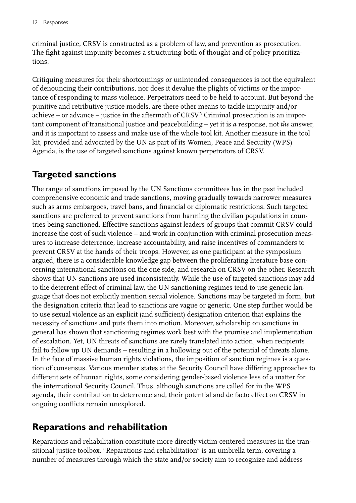criminal justice, CRSV is constructed as a problem of law, and prevention as prosecution. The fight against impunity becomes a structuring both of thought and of policy prioritizations.

Critiquing measures for their shortcomings or unintended consequences is not the equivalent of denouncing their contributions, nor does it devalue the plights of victims or the importance of responding to mass violence. Perpetrators need to be held to account. But beyond the punitive and retributive justice models, are there other means to tackle impunity and/or achieve – or advance – justice in the aftermath of CRSV? Criminal prosecution is an important component of transitional justice and peacebuilding – yet it is *a* response, not *the* answer, and it is important to assess and make use of the whole tool kit. Another measure in the tool kit, provided and advocated by the UN as part of its Women, Peace and Security (WPS) Agenda, is the use of targeted sanctions against known perpetrators of CRSV.

### **Targeted sanctions**

The range of sanctions imposed by the UN Sanctions committees has in the past included comprehensive economic and trade sanctions, moving gradually towards narrower measures such as arms embargoes, travel bans, and financial or diplomatic restrictions. Such targeted sanctions are preferred to prevent sanctions from harming the civilian populations in countries being sanctioned. Effective sanctions against leaders of groups that commit CRSV could increase the cost of such violence – and work in conjunction with criminal prosecution measures to increase deterrence, increase accountability, and raise incentives of commanders to prevent CRSV at the hands of their troops. However, as one participant at the symposium argued, there is a considerable knowledge gap between the proliferating literature base concerning international sanctions on the one side, and research on CRSV on the other. Research shows that UN sanctions are used inconsistently. While the use of targeted sanctions may add to the deterrent effect of criminal law, the UN sanctioning regimes tend to use generic language that does not explicitly mention sexual violence. Sanctions may be targeted in form, but the designation criteria that lead to sanctions are vague or generic. One step further would be to use sexual violence as an explicit (and sufficient) designation criterion that explains the necessity of sanctions and puts them into motion. Moreover, scholarship on sanctions in general has shown that sanctioning regimes work best with the promise and implementation of escalation. Yet, UN threats of sanctions are rarely translated into action, when recipients fail to follow up UN demands – resulting in a hollowing out of the potential of threats alone. In the face of massive human rights violations, the imposition of sanction regimes is a question of consensus. Various member states at the Security Council have differing approaches to different sets of human rights, some considering gender-based violence less of a matter for the international Security Council. Thus, although sanctions are called for in the WPS agenda, their contribution to deterrence and, their potential and de facto effect on CRSV in ongoing conflicts remain unexplored.

### **Reparations and rehabilitation**

Reparations and rehabilitation constitute more directly victim-centered measures in the transitional justice toolbox. "Reparations and rehabilitation" is an umbrella term, covering a number of measures through which the state and/or society aim to recognize and address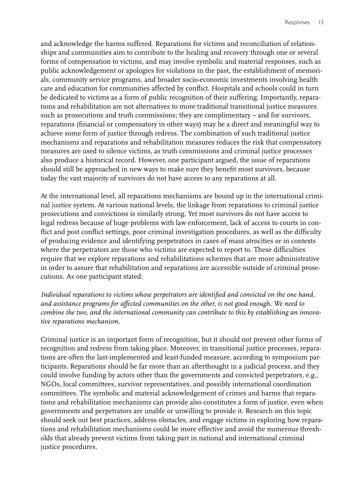and acknowledge the harms suffered. Reparations for victims and reconciliation of relationships and communities aim to contribute to the healing and recovery through one or several forms of compensation to victims, and may involve symbolic and material responses, such as public acknowledgement or apologies for violations in the past, the establishment of memorials, community service programs, and broader socio-economic investments involving health care and education for communities affected by conflict. Hospitals and schools could in turn be dedicated to victims as a form of public recognition of their suffering. Importantly, reparations and rehabilitation are not alternatives to more traditional transitional justice measures such as prosecutions and truth commissions; they are complimentary – and for survivors, reparations (financial or compensatory in other ways) may be a direct and meaningful way to achieve some form of justice through redress. The combination of such traditional justice mechanisms and reparations and rehabilitation measures reduces the risk that compensatory measures are used to silence victims, as truth commissions and criminal justice processes also produce a historical record. However, one participant argued, the issue of reparations should still be approached in new ways to make sure they benefit most survivors, because today the vast majority of survivors do not have access to any reparations at all.

At the international level, all reparations mechanisms are bound up in the international criminal justice system. At various national levels, the linkage from reparations to criminal justice prosecutions and convictions is similarly strong. Yet most survivors do not have access to legal redress because of huge problems with law enforcement, lack of access to courts in conflict and post conflict settings, poor criminal investigation procedures, as well as the difficulty of producing evidence and identifying perpetrators in cases of mass atrocities or in contexts where the perpetrators are those who victims are expected to report to. These difficulties require that we explore reparations and rehabilitations schemes that are more administrative in order to assure that rehabilitation and reparations are accessible outside of criminal prosecutions. As one participant stated:

*Individual reparations to victims whose perpetrators are identified and convicted on the one hand, and assistance programs for affected communities on the other, is not good enough. We need to combine the two, and the international community can contribute to this by establishing an innovative reparations mechanism*.

Criminal justice is an important form of recognition, but it should not prevent other forms of recognition and redress from taking place. Moreover, in transitional justice processes, reparations are often the last-implemented and least-funded measure, according to symposium participants. Reparations should be far more than an afterthought in a judicial process, and they could involve funding by actors other than the governments and convicted perpetrators, e.g., NGOs, local committees, survivor representatives, and possibly international coordination committees. The symbolic and material acknowledgement of crimes and harms that reparations and rehabilitation mechanisms can provide also constitutes a form of justice, even when governments and perpetrators are unable or unwilling to provide it. Research on this topic should seek out best practices, address obstacles, and engage victims in exploring how reparations and rehabilitation mechanisms could be more effective and avoid the numerous thresholds that already prevent victims from taking part in national and international criminal justice procedures.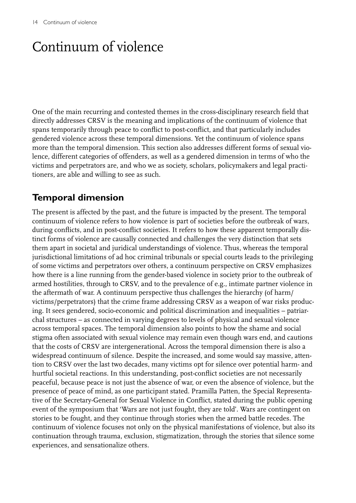# Continuum of violence

One of the main recurring and contested themes in the cross-disciplinary research field that directly addresses CRSV is the meaning and implications of the continuum of violence that spans temporarily through peace to conflict to post-conflict, and that particularly includes gendered violence across these temporal dimensions. Yet the continuum of violence spans more than the temporal dimension. This section also addresses different forms of sexual violence, different categories of offenders, as well as a gendered dimension in terms of who the victims and perpetrators are, and who we as society, scholars, policymakers and legal practitioners, are able and willing to see as such.

### **Temporal dimension**

The present is affected by the past, and the future is impacted by the present. The temporal continuum of violence refers to how violence is part of societies before the outbreak of wars, during conflicts, and in post-conflict societies. It refers to how these apparent temporally distinct forms of violence are causally connected and challenges the very distinction that sets them apart in societal and juridical understandings of violence. Thus, whereas the temporal jurisdictional limitations of ad hoc criminal tribunals or special courts leads to the privileging of some victims and perpetrators over others, a continuum perspective on CRSV emphasizes how there is a line running from the gender-based violence in society prior to the outbreak of armed hostilities, through to CRSV, and to the prevalence of e.g., intimate partner violence in the aftermath of war. A continuum perspective thus challenges the hierarchy (of harm/ victims/perpetrators) that the crime frame addressing CRSV as a weapon of war risks producing. It sees gendered, socio-economic and political discrimination and inequalities – patriarchal structures – as connected in varying degrees to levels of physical and sexual violence across temporal spaces. The temporal dimension also points to how the shame and social stigma often associated with sexual violence may remain even though wars end, and cautions that the costs of CRSV are intergenerational. Across the temporal dimension there is also a widespread continuum of silence. Despite the increased, and some would say massive, attention to CRSV over the last two decades, many victims opt for silence over potential harm- and hurtful societal reactions. In this understanding, post-conflict societies are not necessarily peaceful, because peace is not just the absence of war, or even the absence of violence, but the presence of peace of mind, as one participant stated. Pramilla Patten, the Special Representative of the Secretary-General for Sexual Violence in Conflict, stated during the public opening event of the symposium that 'Wars are not just fought, they are told'. Wars are contingent on stories to be fought, and they continue through stories when the armed battle recedes. The continuum of violence focuses not only on the physical manifestations of violence, but also its continuation through trauma, exclusion, stigmatization, through the stories that silence some experiences, and sensationalize others.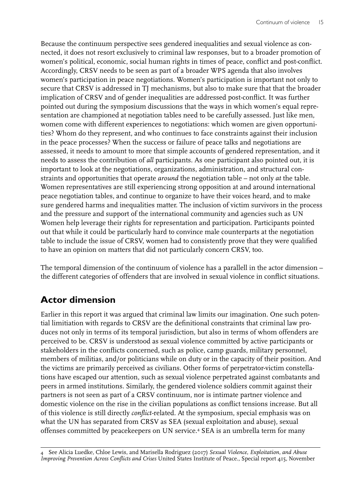Because the continuum perspective sees gendered inequalities and sexual violence as connected, it does not resort exclusively to criminal law responses, but to a broader promotion of women's political, economic, social human rights in times of peace, conflict and post-conflict. Accordingly, CRSV needs to be seen as part of a broader WPS agenda that also involves women's participation in peace negotiations. Women's participation is important not only to secure that CRSV is addressed in TJ mechanisms, but also to make sure that that the broader implication of CRSV and of gender inequalities are addressed post-conflict. It was further pointed out during the symposium discussions that the ways in which women's equal representation are championed at negotiation tables need to be carefully assessed. Just like men, women come with different experiences to negotiations: which women are given opportunities? Whom do they represent, and who continues to face constraints against their inclusion in the peace processes? When the success or failure of peace talks and negotiations are assessed, it needs to amount to more that simple accounts of gendered representation, and it needs to assess the contribution of *all* participants. As one participant also pointed out, it is important to look at the negotiations, organizations, administration, and structural constraints and opportunities that operate *around* the negotiation table – not only *at* the table. Women representatives are still experiencing strong opposition at and around international peace negotiation tables, and continue to organize to have their voices heard, and to make sure gendered harms and inequalities matter. The inclusion of victim survivors in the process and the pressure and support of the international community and agencies such as UN Women help leverage their rights for representation and participation. Participants pointed out that while it could be particularly hard to convince male counterparts at the negotiation table to include the issue of CRSV, women had to consistently prove that they were qualified to have an opinion on matters that did not particularly concern CRSV, too.

The temporal dimension of the continuum of violence has a parallell in the actor dimension – the different categories of offenders that are involved in sexual violence in conflict situations.

### **Actor dimension**

Earlier in this report it was argued that criminal law limits our imagination. One such potential limitiation with regards to CRSV are the definitional constraints that criminal law produces not only in terms of its temporal jurisdiction, but also in terms of whom offenders are perceived to be. CRSV is understood as sexual violence committed by active participants or stakeholders in the conflicts concerned, such as police, camp guards, military personnel, members of militias, and/or politicians while on duty or in the capacity of their position. And the victims are primarily perceived as civilians. Other forms of perpetrator-victim constellations have escaped our attention, such as sexual violence perpetrated against combatants and peers in armed institutions. Similarly, the gendered violence soldiers commit against their partners is not seen as part of a CRSV continuum, nor is intimate partner violence and domestic violence on the rise in the civilian populations as conflict tensions increase. But all of this violence is still directly *conflict-*related. At the symposium, special emphasis was on what the UN has separated from CRSV as SEA (sexual exploitation and abuse), sexual offenses committed by peacekeepers on UN service.4 SEA is an umbrella term for many

<sup>4</sup> See Alicia Luedke, Chloe Lewis, and Marisella Rodriguez (2017) *Sexual Violence, Exploitation, and Abuse Improving Prevention Across Conflicts and Crises* United States Institute of Peace., Special report 415, November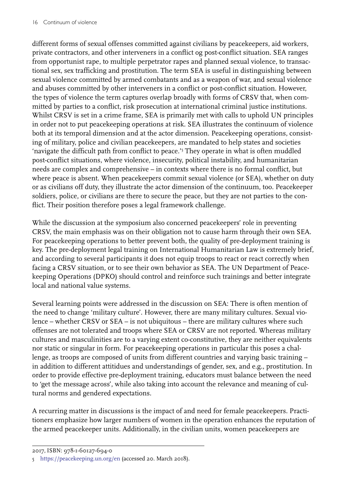different forms of sexual offenses committed against civilians by peacekeepers, aid workers, private contractors, and other interveners in a conflict og post-conflict situation. SEA ranges from opportunist rape, to multiple perpetrator rapes and planned sexual violence, to transactional sex, sex trafficking and prostitution. The term SEA is useful in distinguishing between sexual violence committed by armed combatants and as a weapon of war, and sexual violence and abuses committed by other interveners in a conflict or post-conflict situation. However, the types of violence the term captures overlap broadly with forms of CRSV that, when committed by parties to a conflict, risk prosecution at international criminal justice institutions. Whilst CRSV is set in a crime frame, SEA is primarily met with calls to uphold UN principles in order not to put peacekeeping operations at risk. SEA illustrates the continuum of violence both at its temporal dimension and at the actor dimension. Peacekeeping operations, consisting of military, police and civilian peacekeepers, are mandated to help states and societies 'navigate the difficult path from conflict to peace.'5 They operate in what is often muddled post-conflict situations, where violence, insecurity, political instability, and humanitarian needs are complex and comprehensive – in contexts where there is no formal conflict, but where peace is absent. When peacekeepers commit sexual violence (or SEA), whether on duty or as civilians off duty, they illustrate the actor dimension of the continuum, too. Peacekeeper soldiers, police, or civilians are there to secure the peace, but they are not parties to the conflict. Their position therefore poses a legal framework challenge.

While the discussion at the symposium also concerned peacekeepers' role in preventing CRSV, the main emphasis was on their obligation not to cause harm through their own SEA. For peacekeeping operations to better prevent both, the quality of pre-deployment training is key. The pre-deployment legal training on International Humanitarian Law is extremely brief, and according to several participants it does not equip troops to react or react correctly when facing a CRSV situation, or to see their own behavior as SEA. The UN Department of Peacekeeping Operations (DPKO) should control and reinforce such trainings and better integrate local and national value systems.

Several learning points were addressed in the discussion on SEA: There is often mention of the need to change 'military culture'. However, there are many military cultures. Sexual violence – whether CRSV or SEA – is not ubiquitous – there are military cultures where such offenses are not tolerated and troops where SEA or CRSV are not reported. Whereas military cultures and masculinities are to a varying extent co-constitutive, they are neither equivalents nor static or singular in form. For peacekeeping operations in particular this poses a challenge, as troops are composed of units from different countries and varying basic training – in addition to different attitidues and understandings of gender, sex, and e.g., prostitution. In order to provide effective pre-deployment training, educators must balance between the need to 'get the message across', while also taking into account the relevance and meaning of cultural norms and gendered expectations.

A recurring matter in discussions is the impact of and need for female peacekeepers. Practitioners emphasize how larger numbers of women in the operation enhances the reputation of the armed peacekeeper units. Additionally, in the civilian units, women peacekeepers are

2017, ISBN: 978-1-60127-694-0

<sup>5</sup> https://peacekeeping.un.org/en (accessed 20. March 2018).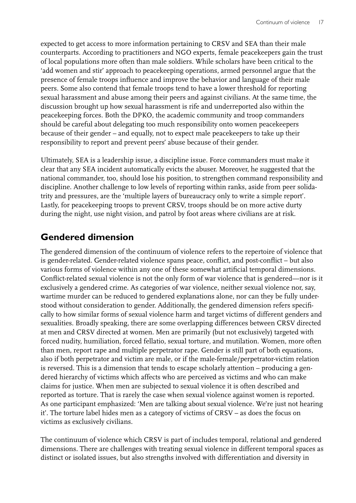expected to get access to more information pertaining to CRSV and SEA than their male counterparts. According to practitioners and NGO experts, female peacekeepers gain the trust of local populations more often than male soldiers. While scholars have been critical to the 'add women and stir' approach to peacekeeping operations, armed personnel argue that the presence of female troops influence and improve the behavior and language of their male peers. Some also contend that female troops tend to have a lower threshold for reporting sexual harassment and abuse among their peers and against civilians. At the same time, the discussion brought up how sexual harassment is rife and underreported also within the peacekeeping forces. Both the DPKO, the academic community and troop commanders should be careful about delegating too much responsibility onto women peacekeepers because of their gender – and equally, not to expect male peacekeepers to take up their responsibility to report and prevent peers' abuse because of their gender.

Ultimately, SEA is a leadership issue, a discipline issue. Force commanders must make it clear that any SEA incident automatically evicts the abuser. Moreover, he suggested that the national commander, too, should lose his position, to strengthen command responsibility and discipline. Another challenge to low levels of reporting within ranks, aside from peer solidatrity and pressures, are the 'multiple layers of bureaucracy only to write a simple report'. Lastly, for peacekeeping troops to prevent CRSV, troops should be on more active durty during the night, use night vision, and patrol by foot areas where civilians are at risk.

### **Gendered dimension**

The gendered dimension of the continuum of violence refers to the repertoire of violence that is gender-related. Gender-related violence spans peace, conflict, and post-conflict – but also various forms of violence within any one of these somewhat artificial temporal dimensions. Conflict-related sexual violence is not the only form of war violence that is gendered—nor is it exclusively a gendered crime. As categories of war violence, neither sexual violence nor, say, wartime murder can be reduced to gendered explanations alone, nor can they be fully understood without consideration to gender. Additionally, the gendered dimension refers specifically to how similar forms of sexual violence harm and target victims of different genders and sexualities. Broadly speaking, there are some overlapping differences between CRSV directed at men and CRSV directed at women. Men are primarily (but not exclusively) targeted with forced nudity, humiliation, forced fellatio, sexual torture, and mutilation. Women, more often than men, report rape and multiple perpetrator rape. Gender is still part of both equations, also if both perpetrator and victim are male, or if the male-female/perpetrator-victim relation is reversed. This is a dimension that tends to escape scholarly attention – producing a gendered hierarchy of victims which affects who are perceived as victims and who can make claims for justice. When men are subjected to sexual violence it is often described and reported as torture. That is rarely the case when sexual violence against women is reported. As one participant emphasized: 'Men are talking about sexual violence. We're just not hearing it'. The torture label hides men as a category of victims of CRSV – as does the focus on victims as exclusively civilians.

The continuum of violence which CRSV is part of includes temporal, relational and gendered dimensions. There are challenges with treating sexual violence in different temporal spaces as distinct or isolated issues, but also strengths involved with differentiation and diversity in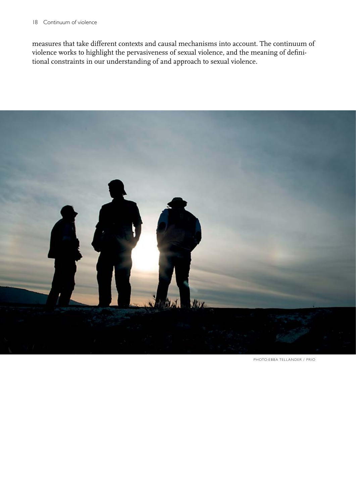measures that take different contexts and causal mechanisms into account. The continuum of violence works to highlight the pervasiveness of sexual violence, and the meaning of definitional constraints in our understanding of and approach to sexual violence.



PHOTO:EBBA TELLANDER / PRIO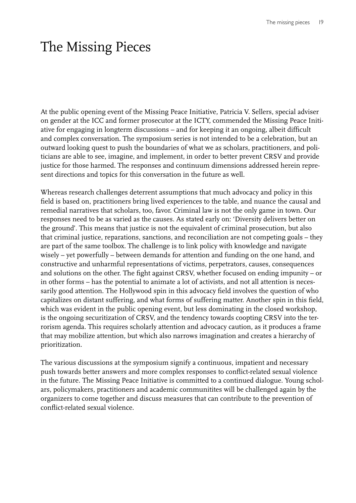# The Missing Pieces

At the public opening event of the Missing Peace Initiative, Patricia V. Sellers, special adviser on gender at the ICC and former prosecutor at the ICTY, commended the Missing Peace Initiative for engaging in longterm discussions – and for keeping it an ongoing, albeit difficult and complex conversation. The symposium series is not intended to be a celebration, but an outward looking quest to push the boundaries of what we as scholars, practitioners, and politicians are able to see, imagine, and implement, in order to better prevent CRSV and provide justice for those harmed. The responses and continuum dimensions addressed herein represent directions and topics for this conversation in the future as well.

Whereas research challenges deterrent assumptions that much advocacy and policy in this field is based on, practitioners bring lived experiences to the table, and nuance the causal and remedial narratives that scholars, too, favor. Criminal law is not the only game in town. Our responses need to be as varied as the causes. As stated early on: 'Diversity delivers better on the ground'. This means that justice is not the equivalent of criminal prosecution, but also that criminal justice, reparations, sanctions, and reconciliation are not competing goals – they are part of the same toolbox. The challenge is to link policy with knowledge and navigate wisely – yet powerfully – between demands for attention and funding on the one hand, and constructive and unharmful representations of victims, perpetrators, causes, consequences and solutions on the other. The fight against CRSV, whether focused on ending impunity – or in other forms – has the potential to animate a lot of activists, and not all attention is necessarily good attention. The Hollywood spin in this advocacy field involves the question of who capitalizes on distant suffering, and what forms of suffering matter. Another spin in this field, which was evident in the public opening event, but less dominating in the closed workshop, is the ongoing securitization of CRSV, and the tendency towards coopting CRSV into the terrorism agenda. This requires scholarly attention and advocacy caution, as it produces a frame that may mobilize attention, but which also narrows imagination and creates a hierarchy of prioritization.

The various discussions at the symposium signify a continuous, impatient and necessary push towards better answers and more complex responses to conflict-related sexual violence in the future. The Missing Peace Initiative is committed to a continued dialogue. Young scholars, policymakers, practitioners and academic communitites will be challenged again by the organizers to come together and discuss measures that can contribute to the prevention of conflict-related sexual violence.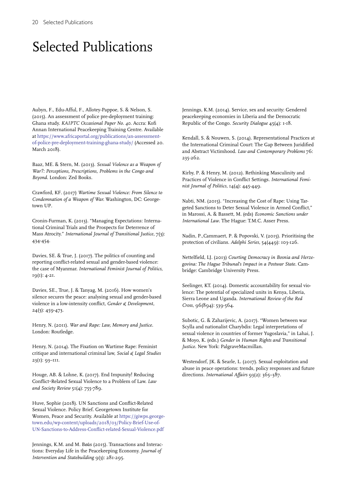### Selected Publications

Aubyn, F., Edu-Afful, F., Allotey-Pappoe, S. & Nelson, S. (2015). An assessment of police pre-deployment training: Ghana study. *KAIPTC Occasional Paper No. 40*. Accra: Kofi Annan International Peacekeeping Training Centre. Available at https://www.africaportal.org/publications/an-assessmentof-police-pre-deployment-training-ghana-study/ (Accessed 20. March 2018).

Baaz, ME. & Stern, M. (2013). *Sexual Violence as a Weapon of War?: Perceptions, Prescriptions, Problems in the Congo and Beyond*. London: Zed Books.

Crawford, KF. (2017) *Wartime Sexual Violence: From Silence to Condemnation of a Weapon of War.* Washington, DC: Georgetown UP.

Cronin-Furman, K. (2013). "Managing Expectations: International Criminal Trials and the Prospects for Deterrence of Mass Atrocity." *International Journal of Transitional Justice*, 7(3): 434-454.

Davies, SE. & True, J. (2017). The politics of counting and reporting conflict-related sexual and gender-based violence: the case of Myanmar. *International Feminist Journal of Politics*, 19(1): 4-21.

Davies, SE., True, J. & Tanyag, M. (2016). How women's silence secures the peace: analysing sexual and gender-based violence in a low-intensity conflict, *Gender & Development,* 24(3): 459-473.

Henry, N. (2011). *War and Rape: Law, Memory and Justice.* London: Routledge.

Henry, N. (2014). The Fixation on Wartime Rape: Feminist critique and international criminal law, *Social & Legal Studies* 23(1): 93–111.

Houge, AB. & Lohne, K. (2017). End Impunity! Reducing Conflict**‐**Related Sexual Violence to a Problem of Law. *Law and Society Review* 51(4): 755-789.

Huve, Sophie (2018). UN Sanctions and Conflict-Related Sexual Violence. Policy Brief. Georgetown Institute for Women, Peace and Security. Available at https://giwps.georgetown.edu/wp-content/uploads/2018/03/Policy-Brief-Use-of-UN-Sanctions-to-Address-Conflict-related-Sexual-Violence.pdf

Jennings, K.M. and M. Bøås (2015). Transactions and Interactions: Everyday Life in the Peacekeeping Economy. *Journal of Intervention and Statebuilding*  $9(3)$ : 281-295.

Jennings, K.M. (2014). Service, sex and security: Gendered peacekeeping economies in Liberia and the Democratic Republic of the Congo. *Security Dialogue* 45(4): 1-18.

Kendall, S. & Nouwen, S. (2014). Representational Practices at the International Criminal Court: The Gap Between Juridified and Abstract Victimhood. *Law and Contemporary Problems* 76: 235-262.

Kirby, P. & Henry, M. (2012). Rethinking Masculinity and Practices of Violence in Conflict Settings. *International Feminist Journal of Politics*, 14(4): 445-449.

Nabti, NM. (2015). "Increasing the Cost of Rape: Using Targeted Sanctions to Deter Sexual Violence in Armed Conflict," in Marossi, A. & Bassett, M. (eds) *Economic Sanctions under International Law*. The Hague: T.M.C. Asser Press.

Nadin, P.,Cammaert, P. & Popovski, V. (2015). Prioritising the protection of civilians. *Adelphi Series*, 54(449): 103-126.

Nettelfield, LJ. (2013) *Courting Democracy in Bosnia and Herzegovina: The Hague Tribunal's Impact in a Postwar State.* Cambridge: Cambridge University Press.

Seelinger, KT. (2014). Domestic accountability for sexual violence: The potential of specialized units in Kenya, Liberia, Sierra Leone and Uganda. *International Review of the Red Cross,* 96(894): 539-564.

Subotic, G. & Zaharijevic, A. (2017). "Women between war Scylla and nationalist Charybdis: Legal interpretations of sexual violence in countries of former Yugoslavia," in Lahai, J. & Moyo, K. (eds.) *Gender in Human Rights and Transitional Justice*. New York: PalgraveMacmillan.

Westendorf, JK. & Searle, L. (2017). Sexual exploitation and abuse in peace operations: trends, policy responses and future directions. *International Affairs* 93(2): 365–387.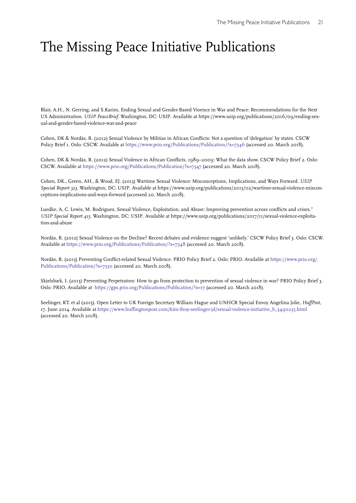### The Missing Peace Initiative Publications

Blair, A.H., N. Gerring, and S.Karim, Ending Sexual and Gender-Based Vioence in War and Peace: Recommendations for the Next US Administration. *USIP PeaceBrief.* Washington, DC: USIP. Available at https://www.usip.org/publications/2016/09/ending-sexual-and-gender-based-violence-war-and-peace

Cohen, DK & Nordås, R. (2012) Sexual Violence by Militias in African Conflicts: Not a question of 'delegation' by states. CSCW Policy Brief 1. Oslo: CSCW. Available at https://www.prio.org/Publications/Publication/?x=7346 (accessed 20. March 2018).

Cohen, DK & Nordås, R. (2012) Sexual Violence in African Conflicts, 1989–2009: What the data show. CSCW Policy Brief 2. Oslo: CSCW. Available at https://www.prio.org/Publications/Publication/?x=7347 (accessed 20. March 2018).

Cohen, DK., Green, AH., & Wood, EJ. (2013) Wartime Sexual Violence: Misconceptions, Implications, and Ways Forward. *USIP Special Report 323.* Washington, DC: USIP. Available at https://www.usip.org/publications/2013/02/wartime-sexual-violence-misconceptions-implications-and-ways-forward (accessed 20. March 2018).

Luedke, A, C. Lewis, M. Rodriguez, Sexual Violence, Exploitation, and Abuse: Improving prevention across conflicts and crises." *USIP Special Report 415.* Washington, DC: USIP. Available at https://www.usip.org/publications/2017/11/sexual-violence-exploitation-and-abuse

Nordås, R. (2012) Sexual Violence on the Decline? Recent debates and evidence suggest 'unlikely.' CSCW Policy Brief 3. Oslo: CSCW. Available at https://www.prio.org/Publications/Publication/?x=7348 (accessed 20. March 2018).

Nordås, R. (2013) Preventing Conflict-related Sexual Violence. PRIO Policy Brief 2. Oslo: PRIO. Available at https://www.prio.org/ Publications/Publication/?x=7330 (accessed 20. March 2018).

Skjelsbæk, I. (2013) Preventing Perpetrators: How to go from protection to prevention of sexual violence in war? PRIO Policy Brief 3. Oslo: PRIO. Available at https://gps.prio.org/Publications/Publication/?x=17 (accessed 20. March 2018).

Seelinger, KT. et al (2015). Open Letter to UK Foreign Secretary William Hague and UNHCR Special Envoy Angelina Jolie, *HuffPost,*  17. June 2014. Available at https://www.huffingtonpost.com/kim-thuy-seelinger-jd/sexual-violence-initiative\_b\_5490235.html (accessed 20. March 2018).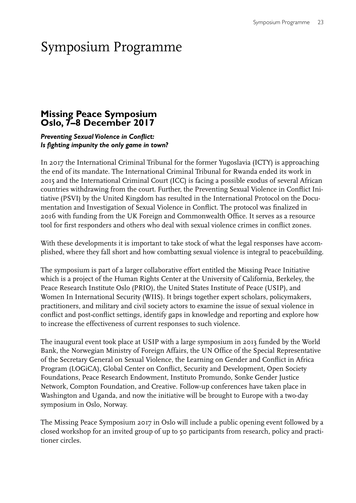# Symposium Programme

#### **Missing Peace Symposium Oslo, 7–8 December 2017**

#### *Preventing Sexual Violence in Conflict: Is fighting impunity the only game in town?*

In 2017 the International Criminal Tribunal for the former Yugoslavia (ICTY) is approaching the end of its mandate. The International Criminal Tribunal for Rwanda ended its work in 2015 and the International Criminal Court (ICC) is facing a possible exodus of several African countries withdrawing from the court. Further, the Preventing Sexual Violence in Conflict Initiative (PSVI) by the United Kingdom has resulted in the International Protocol on the Documentation and Investigation of Sexual Violence in Conflict. The protocol was finalized in 2016 with funding from the UK Foreign and Commonwealth Office. It serves as a resource tool for first responders and others who deal with sexual violence crimes in conflict zones.

With these developments it is important to take stock of what the legal responses have accomplished, where they fall short and how combatting sexual violence is integral to peacebuilding.

The symposium is part of a larger collaborative effort entitled the Missing Peace Initiative which is a project of the Human Rights Center at the University of California, Berkeley, the Peace Research Institute Oslo (PRIO), the United States Institute of Peace (USIP), and Women In International Security (WIIS). It brings together expert scholars, policymakers, practitioners, and military and civil society actors to examine the issue of sexual violence in conflict and post-conflict settings, identify gaps in knowledge and reporting and explore how to increase the effectiveness of current responses to such violence.

The inaugural event took place at USIP with a large symposium in 2013 funded by the World Bank, the Norwegian Ministry of Foreign Affairs, the UN Office of the Special Representative of the Secretary General on Sexual Violence, the Learning on Gender and Conflict in Africa Program (LOGiCA), Global Center on Conflict, Security and Development, Open Society Foundations, Peace Research Endowment, Instituto Promundo, Sonke Gender Justice Network, Compton Foundation, and Creative. Follow-up conferences have taken place in Washington and Uganda, and now the initiative will be brought to Europe with a two-day symposium in Oslo, Norway.

The Missing Peace Symposium 2017 in Oslo will include a public opening event followed by a closed workshop for an invited group of up to 50 participants from research, policy and practitioner circles.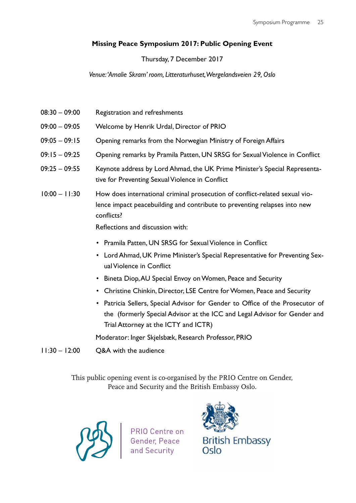#### **Missing Peace Symposium 2017: Public Opening Event**

Thursday, 7 December 2017

*Venue: 'Amalie Skram' room, Litteraturhuset, Wergelandsveien 29, Oslo*

- 08:30 09:00 Registration and refreshments
- 09:00 09:05 Welcome by Henrik Urdal, Director of PRIO
- 09:05 09:15 Opening remarks from the Norwegian Ministry of Foreign Affairs
- 09:15 09:25 Opening remarks by Pramila Patten, UN SRSG for Sexual Violence in Conflict
- 09:25 09:55 Keynote address by Lord Ahmad, the UK Prime Minister's Special Representative for Preventing Sexual Violence in Conflict
- 10:00 11:30 How does international criminal prosecution of conflict-related sexual violence impact peacebuilding and contribute to preventing relapses into new conflicts?

Reflections and discussion with:

- Pramila Patten, UN SRSG for Sexual Violence in Conflict
- Lord Ahmad, UK Prime Minister's Special Representative for Preventing Sexual Violence in Conflict
- Bineta Diop, AU Special Envoy on Women, Peace and Security
- Christine Chinkin, Director, LSE Centre for Women, Peace and Security
- Patricia Sellers, Special Advisor for Gender to Office of the Prosecutor of the (formerly Special Advisor at the ICC and Legal Advisor for Gender and Trial Attorney at the ICTY and ICTR)

Moderator: Inger Skjelsbæk, Research Professor, PRIO

 $11:30 - 12:00$  O&A with the audience

This public opening event is co-organised by the PRIO Centre on Gender, Peace and Security and the British Embassy Oslo.



PRIO Centre on<br>Gender, Peace<br>and Security



**British Embassy** Oslo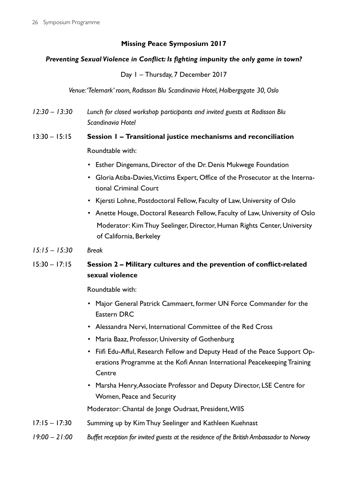#### **Missing Peace Symposium 2017**

#### *Preventing Sexual Violence in Conflict: Is fighting impunity the only game in town?*

Day 1 – Thursday, 7 December 2017

*Venue: 'Telemark' room, Radisson Blu Scandinavia Hotel, Holbergsgate 30, Oslo*

- *12:30 13:30 Lunch for closed workshop participants and invited guests at Radisson Blu Scandinavia Hotel*
- 13:30 15:15 **Session 1 – Transitional justice mechanisms and reconciliation**  Roundtable with:
	- Esther Dingemans, Director of the Dr. Denis Mukwege Foundation
	- Gloria Atiba-Davies, Victims Expert, Office of the Prosecutor at the International Criminal Court
	- Kjersti Lohne, Postdoctoral Fellow, Faculty of Law, University of Oslo
	- Anette Houge, Doctoral Research Fellow, Faculty of Law, University of Oslo Moderator: Kim Thuy Seelinger, Director, Human Rights Center, University of California, Berkeley
- *15:15 15:30 Break*

#### 15:30 – 17:15 **Session 2 – Military cultures and the prevention of conflict-related sexual violence**

Roundtable with:

- Major General Patrick Cammaert, former UN Force Commander for the Eastern DRC
- Alessandra Nervi, International Committee of the Red Cross
- Maria Baaz, Professor, University of Gothenburg
- Fiifi Edu-Afful, Research Fellow and Deputy Head of the Peace Support Operations Programme at the Kofi Annan International Peacekeeping Training Centre
- Marsha Henry, Associate Professor and Deputy Director, LSE Centre for Women, Peace and Security

Moderator: Chantal de Jonge Oudraat, President, WIIS

- 17:15 17:30 Summing up by Kim Thuy Seelinger and Kathleen Kuehnast
- *19:00 21:00 Buffet reception for invited guests at the residence of the British Ambassador to Norway*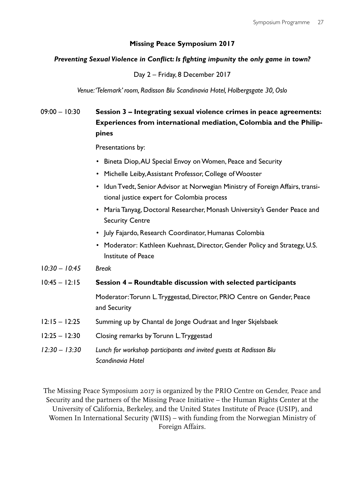#### **Missing Peace Symposium 2017**

#### *Preventing Sexual Violence in Conflict: Is fighting impunity the only game in town?*

Day 2 – Friday, 8 December 2017

*Venue: 'Telemark' room, Radisson Blu Scandinavia Hotel, Holbergsgate 30, Oslo*

#### 09:00 – 10:30 **Session 3 – Integrating sexual violence crimes in peace agreements: Experiences from international mediation, Colombia and the Philippines**

Presentations by:

- Bineta Diop, AU Special Envoy on Women, Peace and Security
- Michelle Leiby, Assistant Professor, College of Wooster
- Idun Tvedt, Senior Advisor at Norwegian Ministry of Foreign Affairs, transitional justice expert for Colombia process
- Maria Tanyag, Doctoral Researcher, Monash University's Gender Peace and Security Centre
- July Fajardo, Research Coordinator, Humanas Colombia
- Moderator: Kathleen Kuehnast, Director, Gender Policy and Strategy, U.S. Institute of Peace
- 1*0:30 10:45 Break*

#### 10:45 – 12:15 **Session 4 – Roundtable discussion with selected participants**

Moderator: Torunn L. Tryggestad, Director, PRIO Centre on Gender, Peace and Security

- 12:15 12:25 Summing up by Chantal de Jonge Oudraat and Inger Skjelsbaek
- 12:25 12:30 Closing remarks by Torunn L. Tryggestad
- *12:30 13:30 Lunch for workshop participants and invited guests at Radisson Blu Scandinavia Hotel*

The Missing Peace Symposium 2017 is organized by the PRIO Centre on Gender, Peace and Security and the partners of the Missing Peace Initiative – the Human Rights Center at the University of California, Berkeley, and the United States Institute of Peace (USIP), and Women In International Security (WIIS) – with funding from the Norwegian Ministry of Foreign Affairs.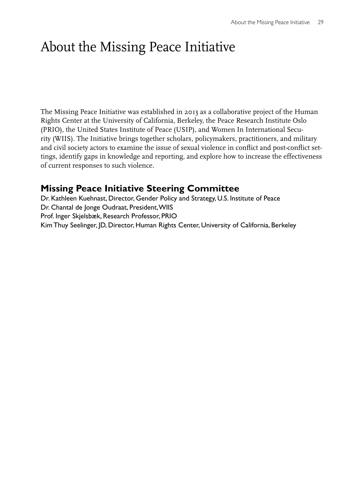# About the Missing Peace Initiative

The Missing Peace Initiative was established in 2013 as a collaborative project of the Human Rights Center at the University of California, Berkeley, the Peace Research Institute Oslo (PRIO), the United States Institute of Peace (USIP), and Women In International Security (WIIS). The Initiative brings together scholars, policymakers, practitioners, and military and civil society actors to examine the issue of sexual violence in conflict and post-conflict settings, identify gaps in knowledge and reporting, and explore how to increase the effectiveness of current responses to such violence.

### **Missing Peace Initiative Steering Committee**

Dr. Kathleen Kuehnast, Director, Gender Policy and Strategy, U.S. Institute of Peace Dr. Chantal de Jonge Oudraat, President, WIIS Prof. Inger Skjelsbæk, Research Professor, PRIO Kim Thuy Seelinger, JD, Director, Human Rights Center, University of California, Berkeley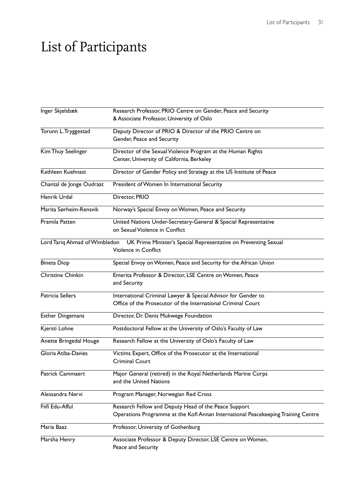# List of Participants

| Inger Skjelsbæk               | Research Professor, PRIO Centre on Gender, Peace and Security                     |
|-------------------------------|-----------------------------------------------------------------------------------|
|                               | & Associate Professor, University of Oslo                                         |
| Torunn L. Tryggestad          | Deputy Director of PRIO & Director of the PRIO Centre on                          |
|                               | Gender, Peace and Security                                                        |
| Kim Thuy Seelinger            | Director of the Sexual Violence Program at the Human Rights                       |
|                               | Center, University of California, Berkeley                                        |
| Kathleen Kuehnast             | Director of Gender Policy and Strategy at the US Institute of Peace               |
| Chantal de Jonge Oudraat      | President of Women In International Security                                      |
| Henrik Urdal                  | Director, PRIO                                                                    |
| Marita Sørheim-Rensvik        | Norway's Special Envoy on Women, Peace and Security                               |
| Pramila Patten                | United Nations Under-Secretary-General & Special Representative                   |
|                               | on Sexual Violence in Conflict                                                    |
| Lord Tariq Ahmad of Wimbledon | UK Prime Minister's Special Representative on Preventing Sexual                   |
|                               | Violence in Conflict                                                              |
| <b>Bineta Diop</b>            | Special Envoy on Women, Peace and Security for the African Union                  |
| <b>Christine Chinkin</b>      | Emerita Professor & Director, LSE Centre on Women, Peace                          |
|                               | and Security                                                                      |
| Patricia Sellers              | International Criminal Lawyer & Special Advisor for Gender to                     |
|                               | Office of the Prosecutor of the International Criminal Court                      |
| <b>Esther Dingemans</b>       | Director, Dr. Denis Mukwege Foundation                                            |
| Kjersti Lohne                 | Postdoctoral Fellow at the University of Oslo's Faculty of Law                    |
| Anette Bringedal Houge        | Research Fellow at the University of Oslo's Faculty of Law                        |
| Gloria Atiba-Davies           | Victims Expert, Office of the Prosecutor at the International                     |
|                               | <b>Criminal Court</b>                                                             |
| Patrick Cammaert              | Major General (retired) in the Royal Netherlands Marine Corps                     |
|                               | and the United Nations                                                            |
| Alessandra Nervi              | Program Manager, Norwegian Red Cross                                              |
| Fiifi Edu-Afful               | Research Fellow and Deputy Head of the Peace Support                              |
|                               | Operations Programme at the Kofi Annan International Peacekeeping Training Centre |
| Maria Baaz                    | Professor, University of Gothenburg                                               |
| Marsha Henry                  | Associate Professor & Deputy Director, LSE Centre on Women,                       |
|                               | Peace and Security                                                                |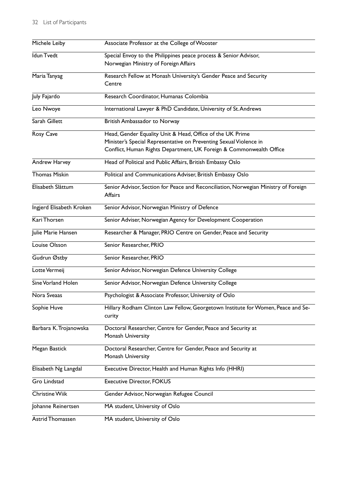| Michele Leiby            | Associate Professor at the College of Wooster                                                                                                                                                          |
|--------------------------|--------------------------------------------------------------------------------------------------------------------------------------------------------------------------------------------------------|
| <b>Idun Tvedt</b>        | Special Envoy to the Philippines peace process & Senior Advisor,<br>Norwegian Ministry of Foreign Affairs                                                                                              |
| Maria Tanyag             | Research Fellow at Monash University's Gender Peace and Security<br>Centre                                                                                                                             |
| July Fajardo             | Research Coordinator, Humanas Colombia                                                                                                                                                                 |
| Leo Nwoye                | International Lawyer & PhD Candidate, University of St. Andrews                                                                                                                                        |
| Sarah Gillett            | British Ambassador to Norway                                                                                                                                                                           |
| Rosy Cave                | Head, Gender Equality Unit & Head, Office of the UK Prime<br>Minister's Special Representative on Preventing Sexual Violence in<br>Conflict, Human Rights Department, UK Foreign & Commonwealth Office |
| Andrew Harvey            | Head of Political and Public Affairs, British Embassy Oslo                                                                                                                                             |
| <b>Thomas Miskin</b>     | Political and Communications Adviser, British Embassy Oslo                                                                                                                                             |
| Elisabeth Slåttum        | Senior Advisor, Section for Peace and Reconciliation, Norwegian Ministry of Foreign<br>Affairs                                                                                                         |
| Ingjerd Elisabeth Kroken | Senior Advisor, Norwegian Ministry of Defence                                                                                                                                                          |
| Kari Thorsen             | Senior Adviser, Norwegian Agency for Development Cooperation                                                                                                                                           |
| Julie Marie Hansen       | Researcher & Manager, PRIO Centre on Gender, Peace and Security                                                                                                                                        |
| Louise Olsson            | Senior Researcher, PRIO                                                                                                                                                                                |
| Gudrun Østby             | Senior Researcher, PRIO                                                                                                                                                                                |
| Lotte Vermeij            | Senior Advisor, Norwegian Defence University College                                                                                                                                                   |
| Sine Vorland Holen       | Senior Advisor, Norwegian Defence University College                                                                                                                                                   |
| Nora Sveaas              | Psychologist & Associate Professor, University of Oslo                                                                                                                                                 |
| Sophie Huve              | Hillary Rodham Clinton Law Fellow, Georgetown Institute for Women, Peace and Se-<br>curity                                                                                                             |
| Barbara K. Trojanowska   | Doctoral Researcher, Centre for Gender, Peace and Security at<br>Monash University                                                                                                                     |
| Megan Bastick            | Doctoral Researcher, Centre for Gender, Peace and Security at<br>Monash University                                                                                                                     |
| Elisabeth Ng Langdal     | Executive Director, Health and Human Rights Info (HHRI)                                                                                                                                                |
| Gro Lindstad             | <b>Executive Director, FOKUS</b>                                                                                                                                                                       |
| <b>Christine Wiik</b>    | Gender Advisor, Norwegian Refugee Council                                                                                                                                                              |
| Johanne Reinertsen       | MA student, University of Oslo                                                                                                                                                                         |
| <b>Astrid Thomassen</b>  | MA student, University of Oslo                                                                                                                                                                         |